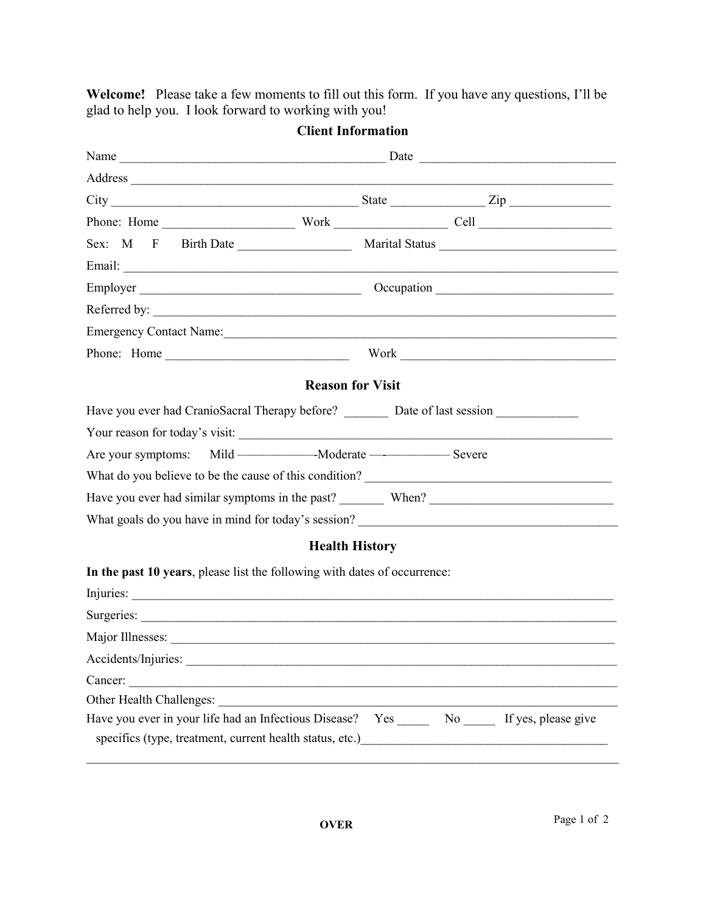**Welcome!** Please take a few moments to fill out this form. If you have any questions, I'll be glad to help you. I look forward to working with you!

| $City$ $Zip$                                                                                                                                                |  |                                                     |  |  |
|-------------------------------------------------------------------------------------------------------------------------------------------------------------|--|-----------------------------------------------------|--|--|
|                                                                                                                                                             |  |                                                     |  |  |
|                                                                                                                                                             |  |                                                     |  |  |
|                                                                                                                                                             |  |                                                     |  |  |
|                                                                                                                                                             |  |                                                     |  |  |
| Referred by:                                                                                                                                                |  |                                                     |  |  |
| Emergency Contact Name:                                                                                                                                     |  |                                                     |  |  |
|                                                                                                                                                             |  |                                                     |  |  |
| <b>Reason for Visit</b>                                                                                                                                     |  |                                                     |  |  |
| Have you ever had CranioSacral Therapy before? _____________ Date of last session __________________                                                        |  |                                                     |  |  |
|                                                                                                                                                             |  |                                                     |  |  |
|                                                                                                                                                             |  |                                                     |  |  |
|                                                                                                                                                             |  |                                                     |  |  |
| Have you ever had similar symptoms in the past? When? When ?                                                                                                |  |                                                     |  |  |
|                                                                                                                                                             |  |                                                     |  |  |
| <b>Health History</b>                                                                                                                                       |  |                                                     |  |  |
| In the past 10 years, please list the following with dates of occurrence:                                                                                   |  |                                                     |  |  |
| Injuries:                                                                                                                                                   |  |                                                     |  |  |
| Surgeries:                                                                                                                                                  |  |                                                     |  |  |
|                                                                                                                                                             |  |                                                     |  |  |
| Accidents/Injuries:                                                                                                                                         |  |                                                     |  |  |
| Cancer:                                                                                                                                                     |  |                                                     |  |  |
| Other Health Challenges:                                                                                                                                    |  |                                                     |  |  |
| Have you ever in your life had an Infectious Disease? Yes _______ No ______ If yes, please give<br>specifics (type, treatment, current health status, etc.) |  | <u> 1989 - Johann Barbara, martxa alemaniar arg</u> |  |  |

**Client Information**